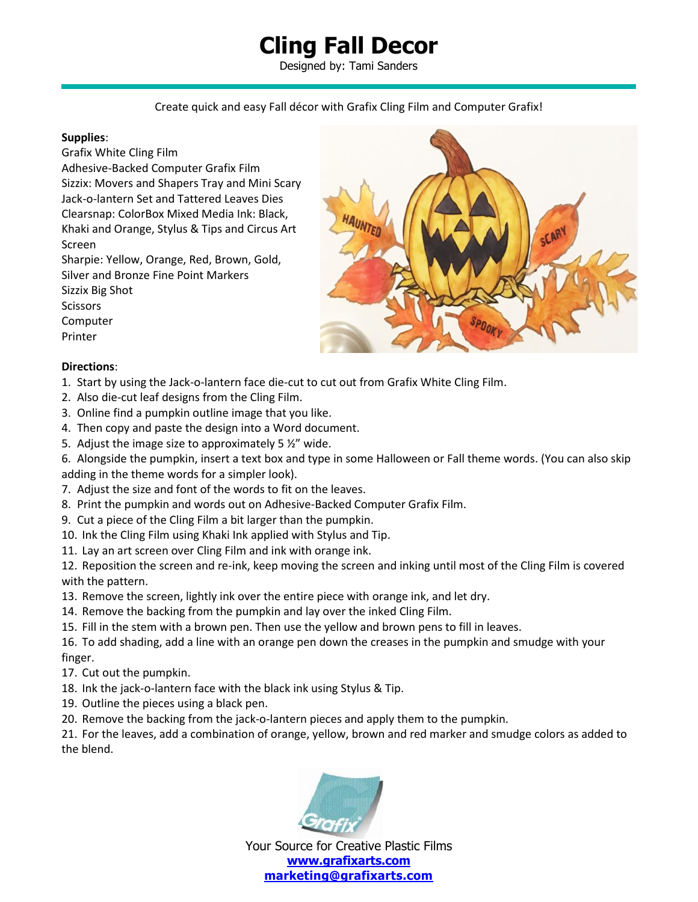# **Cling Fall Decor**

Designed by: Tami Sanders

### Create quick and easy Fall décor with Grafix Cling Film and Computer Grafix!

#### **Supplies**:

Grafix White Cling Film

Adhesive-Backed Computer Grafix Film Sizzix: Movers and Shapers Tray and Mini Scary Jack-o-lantern Set and Tattered Leaves Dies Clearsnap: ColorBox Mixed Media Ink: Black, Khaki and Orange, Stylus & Tips and Circus Art Screen

Sharpie: Yellow, Orange, Red, Brown, Gold, Silver and Bronze Fine Point Markers Sizzix Big Shot Scissors Computer



#### **Directions**:

Printer

- 1. Start by using the Jack-o-lantern face die-cut to cut out from Grafix White Cling Film.
- 2. Also die-cut leaf designs from the Cling Film.
- 3. Online find a pumpkin outline image that you like.
- 4. Then copy and paste the design into a Word document.
- 5. Adjust the image size to approximately 5 ½" wide.
- 6. Alongside the pumpkin, insert a text box and type in some Halloween or Fall theme words. (You can also skip adding in the theme words for a simpler look).
- 7. Adjust the size and font of the words to fit on the leaves.
- 8. Print the pumpkin and words out on Adhesive-Backed Computer Grafix Film.
- 9. Cut a piece of the Cling Film a bit larger than the pumpkin.
- 10. Ink the Cling Film using Khaki Ink applied with Stylus and Tip.
- 11. Lay an art screen over Cling Film and ink with orange ink.
- 12. Reposition the screen and re-ink, keep moving the screen and inking until most of the Cling Film is covered with the pattern.
- 13. Remove the screen, lightly ink over the entire piece with orange ink, and let dry.
- 14. Remove the backing from the pumpkin and lay over the inked Cling Film.
- 15. Fill in the stem with a brown pen. Then use the yellow and brown pens to fill in leaves.

16. To add shading, add a line with an orange pen down the creases in the pumpkin and smudge with your finger.

- 17. Cut out the pumpkin.
- 18. Ink the jack-o-lantern face with the black ink using Stylus & Tip.
- 19. Outline the pieces using a black pen.
- 20. Remove the backing from the jack-o-lantern pieces and apply them to the pumpkin.

21. For the leaves, add a combination of orange, yellow, brown and red marker and smudge colors as added to the blend.



Your Source for Creative Plastic Films **[www.grafixarts.com](http://www.grafixarts.com/) [marketing@grafixarts.com](mailto:marketing@grafixarts.com)**